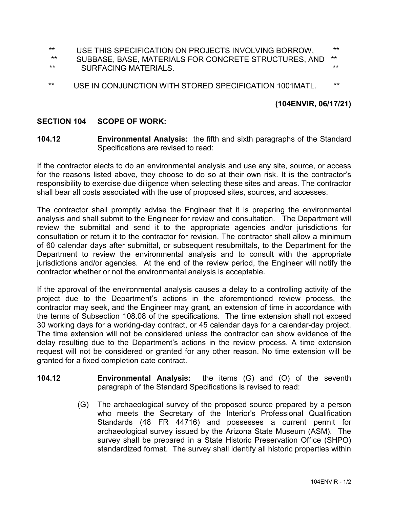- \*\* USE THIS SPECIFICATION ON PROJECTS INVOLVING BORROW, \*\*
- SUBBASE, BASE, MATERIALS FOR CONCRETE STRUCTURES. AND \*\* SURFACING MATERIALS.  $***$  surface that the set of the set of the set of the set of the set of the set of the set of the set of the set of the set of the set of the set of the set of the set of the set of the set of the s
- \*\* USE IN CONJUNCTION WITH STORED SPECIFICATION 1001MATL. \*\*

## **(104ENVIR, 06/17/21)**

## **SECTION 104 SCOPE OF WORK:**

**104.12 Environmental Analysis:** the fifth and sixth paragraphs of the Standard Specifications are revised to read:

If the contractor elects to do an environmental analysis and use any site, source, or access for the reasons listed above, they choose to do so at their own risk. It is the contractor's responsibility to exercise due diligence when selecting these sites and areas. The contractor shall bear all costs associated with the use of proposed sites, sources, and accesses.

The contractor shall promptly advise the Engineer that it is preparing the environmental analysis and shall submit to the Engineer for review and consultation. The Department will review the submittal and send it to the appropriate agencies and/or jurisdictions for consultation or return it to the contractor for revision. The contractor shall allow a minimum of 60 calendar days after submittal, or subsequent resubmittals, to the Department for the Department to review the environmental analysis and to consult with the appropriate jurisdictions and/or agencies. At the end of the review period, the Engineer will notify the contractor whether or not the environmental analysis is acceptable.

If the approval of the environmental analysis causes a delay to a controlling activity of the project due to the Department's actions in the aforementioned review process, the contractor may seek, and the Engineer may grant, an extension of time in accordance with the terms of Subsection 108.08 of the specifications. The time extension shall not exceed 30 working days for a working-day contract, or 45 calendar days for a calendar-day project. The time extension will not be considered unless the contractor can show evidence of the delay resulting due to the Department's actions in the review process. A time extension request will not be considered or granted for any other reason. No time extension will be granted for a fixed completion date contract.

- **104.12 Environmental Analysis:** the items (G) and (O) of the seventh paragraph of the Standard Specifications is revised to read:
	- (G) The archaeological survey of the proposed source prepared by a person who meets the Secretary of the Interior's Professional Qualification Standards (48 FR 44716) and possesses a current permit for archaeological survey issued by the Arizona State Museum (ASM). The survey shall be prepared in a State Historic Preservation Office (SHPO) standardized format. The survey shall identify all historic properties within